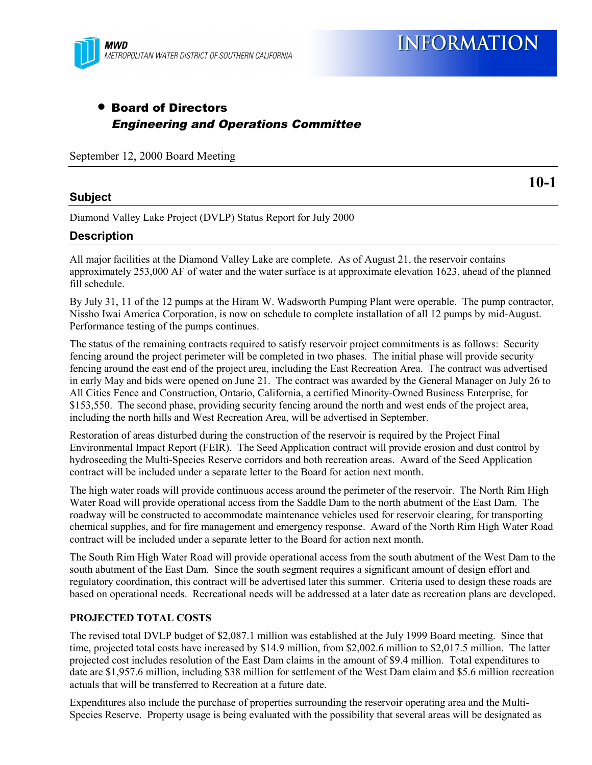

**INFORMATION** 

### • Board of Directors Engineering and Operations Committee

September 12, 2000 Board Meeting

#### **Subject**

**10-1**

Diamond Valley Lake Project (DVLP) Status Report for July 2000

#### **Description**

All major facilities at the Diamond Valley Lake are complete. As of August 21, the reservoir contains approximately 253,000 AF of water and the water surface is at approximate elevation 1623, ahead of the planned fill schedule.

By July 31, 11 of the 12 pumps at the Hiram W. Wadsworth Pumping Plant were operable. The pump contractor, Nissho Iwai America Corporation, is now on schedule to complete installation of all 12 pumps by mid-August. Performance testing of the pumps continues.

The status of the remaining contracts required to satisfy reservoir project commitments is as follows: Security fencing around the project perimeter will be completed in two phases. The initial phase will provide security fencing around the east end of the project area, including the East Recreation Area. The contract was advertised in early May and bids were opened on June 21. The contract was awarded by the General Manager on July 26 to All Cities Fence and Construction, Ontario, California, a certified Minority-Owned Business Enterprise, for \$153,550. The second phase, providing security fencing around the north and west ends of the project area, including the north hills and West Recreation Area, will be advertised in September.

Restoration of areas disturbed during the construction of the reservoir is required by the Project Final Environmental Impact Report (FEIR). The Seed Application contract will provide erosion and dust control by hydroseeding the Multi-Species Reserve corridors and both recreation areas. Award of the Seed Application contract will be included under a separate letter to the Board for action next month.

The high water roads will provide continuous access around the perimeter of the reservoir. The North Rim High Water Road will provide operational access from the Saddle Dam to the north abutment of the East Dam. The roadway will be constructed to accommodate maintenance vehicles used for reservoir clearing, for transporting chemical supplies, and for fire management and emergency response. Award of the North Rim High Water Road contract will be included under a separate letter to the Board for action next month.

The South Rim High Water Road will provide operational access from the south abutment of the West Dam to the south abutment of the East Dam. Since the south segment requires a significant amount of design effort and regulatory coordination, this contract will be advertised later this summer. Criteria used to design these roads are based on operational needs. Recreational needs will be addressed at a later date as recreation plans are developed.

#### **PROJECTED TOTAL COSTS**

The revised total DVLP budget of \$2,087.1 million was established at the July 1999 Board meeting. Since that time, projected total costs have increased by \$14.9 million, from \$2,002.6 million to \$2,017.5 million. The latter projected cost includes resolution of the East Dam claims in the amount of \$9.4 million. Total expenditures to date are \$1,957.6 million, including \$38 million for settlement of the West Dam claim and \$5.6 million recreation actuals that will be transferred to Recreation at a future date.

Expenditures also include the purchase of properties surrounding the reservoir operating area and the Multi-Species Reserve. Property usage is being evaluated with the possibility that several areas will be designated as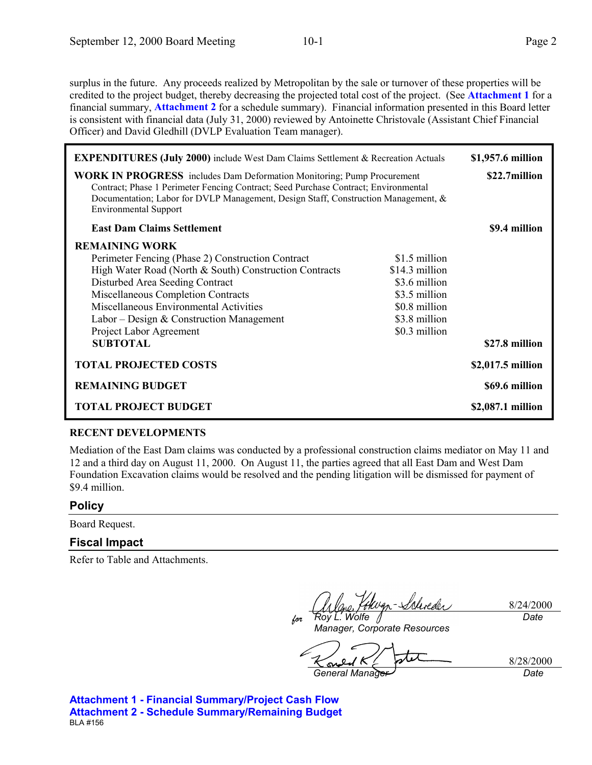surplus in the future. Any proceeds realized by Metropolitan by the sale or turnover of these properties will be credited to the project budget, thereby decreasing the projected total cost of the project. (See **Attachment 1** for a financial summary, **Attachment 2** for a schedule summary). Financial information presented in this Board letter is consistent with financial data (July 31, 2000) reviewed by Antoinette Christovale (Assistant Chief Financial Officer) and David Gledhill (DVLP Evaluation Team manager).

| <b>EXPENDITURES (July 2000)</b> include West Dam Claims Settlement & Recreation Actuals                                                                                                                                                                                                    |                | \$1,957.6 million |
|--------------------------------------------------------------------------------------------------------------------------------------------------------------------------------------------------------------------------------------------------------------------------------------------|----------------|-------------------|
| <b>WORK IN PROGRESS</b> includes Dam Deformation Monitoring; Pump Procurement<br>Contract; Phase 1 Perimeter Fencing Contract; Seed Purchase Contract; Environmental<br>Documentation; Labor for DVLP Management, Design Staff, Construction Management, &<br><b>Environmental Support</b> |                | \$22.7million     |
| <b>East Dam Claims Settlement</b>                                                                                                                                                                                                                                                          |                | \$9.4 million     |
| <b>REMAINING WORK</b>                                                                                                                                                                                                                                                                      |                |                   |
| Perimeter Fencing (Phase 2) Construction Contract                                                                                                                                                                                                                                          | \$1.5 million  |                   |
| High Water Road (North & South) Construction Contracts                                                                                                                                                                                                                                     | \$14.3 million |                   |
| Disturbed Area Seeding Contract                                                                                                                                                                                                                                                            | \$3.6 million  |                   |
| Miscellaneous Completion Contracts                                                                                                                                                                                                                                                         | \$3.5 million  |                   |
| Miscellaneous Environmental Activities                                                                                                                                                                                                                                                     | \$0.8 million  |                   |
| Labor – Design & Construction Management                                                                                                                                                                                                                                                   | \$3.8 million  |                   |
| Project Labor Agreement                                                                                                                                                                                                                                                                    | \$0.3 million  |                   |
| <b>SUBTOTAL</b>                                                                                                                                                                                                                                                                            |                | \$27.8 million    |
| <b>TOTAL PROJECTED COSTS</b>                                                                                                                                                                                                                                                               |                | \$2,017.5 million |
| <b>REMAINING BUDGET</b>                                                                                                                                                                                                                                                                    |                | \$69.6 million    |
| <b>TOTAL PROJECT BUDGET</b>                                                                                                                                                                                                                                                                |                | \$2,087.1 million |

#### **RECENT DEVELOPMENTS**

Mediation of the East Dam claims was conducted by a professional construction claims mediator on May 11 and 12 and a third day on August 11, 2000. On August 11, the parties agreed that all East Dam and West Dam Foundation Excavation claims would be resolved and the pending litigation will be dismissed for payment of \$9.4 million.

#### **Policy**

Board Request.

#### **Fiscal Impact**

Refer to Table and Attachments.

Kokuan-Schoeder

8/24/2000 *Date*

*for Roy L. Wolfe Manager, Corporate Resources*

8/28/2000

*General Manager Date*

**Attachment 1 - Financial Summary/Project Cash Flow Attachment 2 - Schedule Summary/Remaining Budget** BLA #156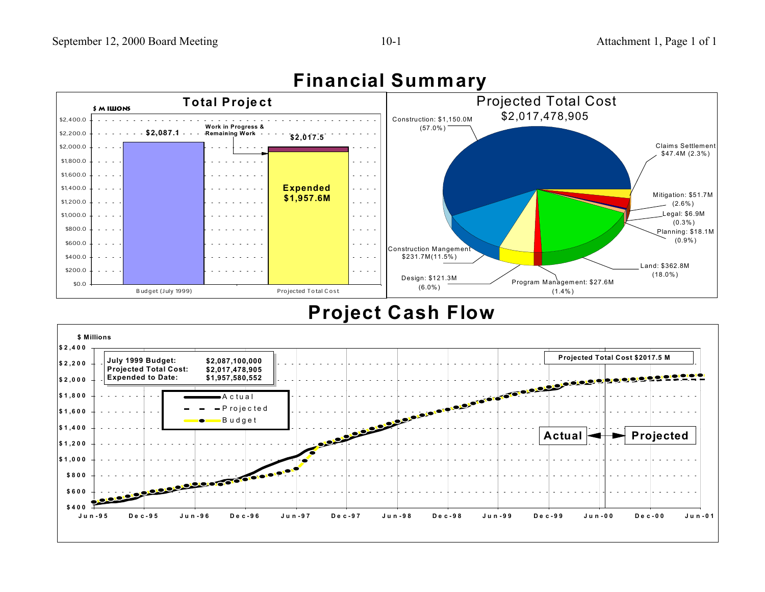## Attachment 1, Page 1 of 1



## **Financial Summary**